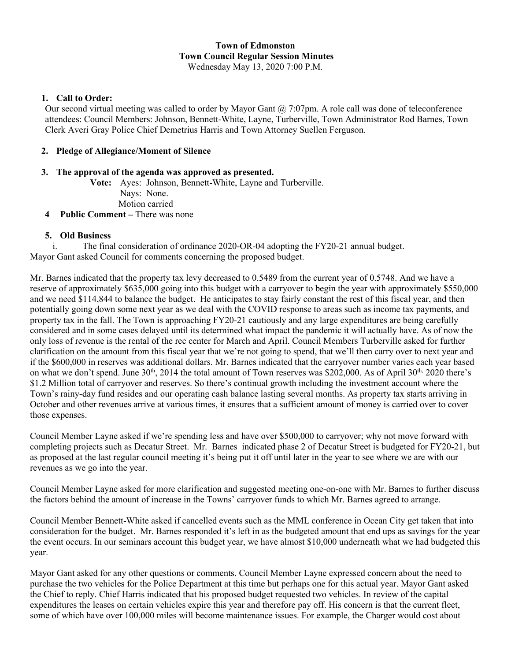# **Town of Edmonston Town Council Regular Session Minutes**

Wednesday May 13, 2020 7:00 P.M.

## **1. Call to Order:**

Our second virtual meeting was called to order by Mayor Gant @ 7:07pm. A role call was done of teleconference attendees: Council Members: Johnson, Bennett-White, Layne, Turberville, Town Administrator Rod Barnes, Town Clerk Averi Gray Police Chief Demetrius Harris and Town Attorney Suellen Ferguson.

## **2. Pledge of Allegiance/Moment of Silence**

## **3. The approval of the agenda was approved as presented.**

**Vote:** Ayes: Johnson, Bennett-White, Layne and Turberville.

Nays: None.

Motion carried

**4 Public Comment –** There was none

## **5. Old Business**

i. The final consideration of ordinance 2020-OR-04 adopting the FY20-21 annual budget. Mayor Gant asked Council for comments concerning the proposed budget.

Mr. Barnes indicated that the property tax levy decreased to 0.5489 from the current year of 0.5748. And we have a reserve of approximately \$635,000 going into this budget with a carryover to begin the year with approximately \$550,000 and we need \$114,844 to balance the budget. He anticipates to stay fairly constant the rest of this fiscal year, and then potentially going down some next year as we deal with the COVID response to areas such as income tax payments, and property tax in the fall. The Town is approaching FY20-21 cautiously and any large expenditures are being carefully considered and in some cases delayed until its determined what impact the pandemic it will actually have. As of now the only loss of revenue is the rental of the rec center for March and April. Council Members Turberville asked for further clarification on the amount from this fiscal year that we're not going to spend, that we'll then carry over to next year and if the \$600,000 in reserves was additional dollars. Mr. Barnes indicated that the carryover number varies each year based on what we don't spend. June  $30<sup>th</sup>$ , 2014 the total amount of Town reserves was \$202,000. As of April  $30<sup>th</sup>$ , 2020 there's \$1.2 Million total of carryover and reserves. So there's continual growth including the investment account where the Town's rainy-day fund resides and our operating cash balance lasting several months. As property tax starts arriving in October and other revenues arrive at various times, it ensures that a sufficient amount of money is carried over to cover those expenses.

Council Member Layne asked if we're spending less and have over \$500,000 to carryover; why not move forward with completing projects such as Decatur Street. Mr. Barnes indicated phase 2 of Decatur Street is budgeted for FY20-21, but as proposed at the last regular council meeting it's being put it off until later in the year to see where we are with our revenues as we go into the year.

Council Member Layne asked for more clarification and suggested meeting one-on-one with Mr. Barnes to further discuss the factors behind the amount of increase in the Towns' carryover funds to which Mr. Barnes agreed to arrange.

Council Member Bennett-White asked if cancelled events such as the MML conference in Ocean City get taken that into consideration for the budget. Mr. Barnes responded it's left in as the budgeted amount that end ups as savings for the year the event occurs. In our seminars account this budget year, we have almost \$10,000 underneath what we had budgeted this year.

Mayor Gant asked for any other questions or comments. Council Member Layne expressed concern about the need to purchase the two vehicles for the Police Department at this time but perhaps one for this actual year. Mayor Gant asked the Chief to reply. Chief Harris indicated that his proposed budget requested two vehicles. In review of the capital expenditures the leases on certain vehicles expire this year and therefore pay off. His concern is that the current fleet, some of which have over 100,000 miles will become maintenance issues. For example, the Charger would cost about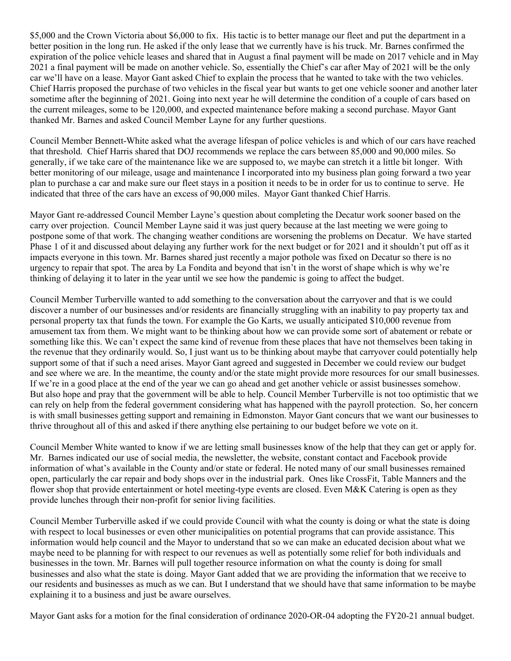\$5,000 and the Crown Victoria about \$6,000 to fix. His tactic is to better manage our fleet and put the department in a better position in the long run. He asked if the only lease that we currently have is his truck. Mr. Barnes confirmed the expiration of the police vehicle leases and shared that in August a final payment will be made on 2017 vehicle and in May 2021 a final payment will be made on another vehicle. So, essentially the Chief's car after May of 2021 will be the only car we'll have on a lease. Mayor Gant asked Chief to explain the process that he wanted to take with the two vehicles. Chief Harris proposed the purchase of two vehicles in the fiscal year but wants to get one vehicle sooner and another later sometime after the beginning of 2021. Going into next year he will determine the condition of a couple of cars based on the current mileages, some to be 120,000, and expected maintenance before making a second purchase. Mayor Gant thanked Mr. Barnes and asked Council Member Layne for any further questions.

Council Member Bennett-White asked what the average lifespan of police vehicles is and which of our cars have reached that threshold. Chief Harris shared that DOJ recommends we replace the cars between 85,000 and 90,000 miles. So generally, if we take care of the maintenance like we are supposed to, we maybe can stretch it a little bit longer. With better monitoring of our mileage, usage and maintenance I incorporated into my business plan going forward a two year plan to purchase a car and make sure our fleet stays in a position it needs to be in order for us to continue to serve. He indicated that three of the cars have an excess of 90,000 miles. Mayor Gant thanked Chief Harris.

Mayor Gant re-addressed Council Member Layne's question about completing the Decatur work sooner based on the carry over projection. Council Member Layne said it was just query because at the last meeting we were going to postpone some of that work. The changing weather conditions are worsening the problems on Decatur. We have started Phase 1 of it and discussed about delaying any further work for the next budget or for 2021 and it shouldn't put off as it impacts everyone in this town. Mr. Barnes shared just recently a major pothole was fixed on Decatur so there is no urgency to repair that spot. The area by La Fondita and beyond that isn't in the worst of shape which is why we're thinking of delaying it to later in the year until we see how the pandemic is going to affect the budget.

Council Member Turberville wanted to add something to the conversation about the carryover and that is we could discover a number of our businesses and/or residents are financially struggling with an inability to pay property tax and personal property tax that funds the town. For example the Go Karts, we usually anticipated \$10,000 revenue from amusement tax from them. We might want to be thinking about how we can provide some sort of abatement or rebate or something like this. We can't expect the same kind of revenue from these places that have not themselves been taking in the revenue that they ordinarily would. So, I just want us to be thinking about maybe that carryover could potentially help support some of that if such a need arises. Mayor Gant agreed and suggested in December we could review our budget and see where we are. In the meantime, the county and/or the state might provide more resources for our small businesses. If we're in a good place at the end of the year we can go ahead and get another vehicle or assist businesses somehow. But also hope and pray that the government will be able to help. Council Member Turberville is not too optimistic that we can rely on help from the federal government considering what has happened with the payroll protection. So, her concern is with small businesses getting support and remaining in Edmonston. Mayor Gant concurs that we want our businesses to thrive throughout all of this and asked if there anything else pertaining to our budget before we vote on it.

Council Member White wanted to know if we are letting small businesses know of the help that they can get or apply for. Mr. Barnes indicated our use of social media, the newsletter, the website, constant contact and Facebook provide information of what's available in the County and/or state or federal. He noted many of our small businesses remained open, particularly the car repair and body shops over in the industrial park. Ones like CrossFit, Table Manners and the flower shop that provide entertainment or hotel meeting-type events are closed. Even M&K Catering is open as they provide lunches through their non-profit for senior living facilities.

Council Member Turberville asked if we could provide Council with what the county is doing or what the state is doing with respect to local businesses or even other municipalities on potential programs that can provide assistance. This information would help council and the Mayor to understand that so we can make an educated decision about what we maybe need to be planning for with respect to our revenues as well as potentially some relief for both individuals and businesses in the town. Mr. Barnes will pull together resource information on what the county is doing for small businesses and also what the state is doing. Mayor Gant added that we are providing the information that we receive to our residents and businesses as much as we can. But I understand that we should have that same information to be maybe explaining it to a business and just be aware ourselves.

Mayor Gant asks for a motion for the final consideration of ordinance 2020-OR-04 adopting the FY20-21 annual budget.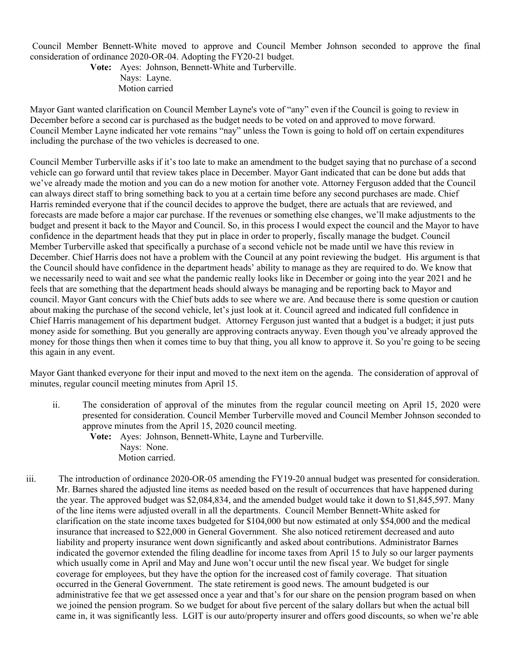Council Member Bennett-White moved to approve and Council Member Johnson seconded to approve the final consideration of ordinance 2020-OR-04. Adopting the FY20-21 budget.

**Vote:** Ayes: Johnson, Bennett-White and Turberville. Nays: Layne. Motion carried

Mayor Gant wanted clarification on Council Member Layne's vote of "any" even if the Council is going to review in December before a second car is purchased as the budget needs to be voted on and approved to move forward. Council Member Layne indicated her vote remains "nay" unless the Town is going to hold off on certain expenditures including the purchase of the two vehicles is decreased to one.

Council Member Turberville asks if it's too late to make an amendment to the budget saying that no purchase of a second vehicle can go forward until that review takes place in December. Mayor Gant indicated that can be done but adds that we've already made the motion and you can do a new motion for another vote. Attorney Ferguson added that the Council can always direct staff to bring something back to you at a certain time before any second purchases are made. Chief Harris reminded everyone that if the council decides to approve the budget, there are actuals that are reviewed, and forecasts are made before a major car purchase. If the revenues or something else changes, we'll make adjustments to the budget and present it back to the Mayor and Council. So, in this process I would expect the council and the Mayor to have confidence in the department heads that they put in place in order to properly, fiscally manage the budget. Council Member Turberville asked that specifically a purchase of a second vehicle not be made until we have this review in December. Chief Harris does not have a problem with the Council at any point reviewing the budget. His argument is that the Council should have confidence in the department heads' ability to manage as they are required to do. We know that we necessarily need to wait and see what the pandemic really looks like in December or going into the year 2021 and he feels that are something that the department heads should always be managing and be reporting back to Mayor and council. Mayor Gant concurs with the Chief buts adds to see where we are. And because there is some question or caution about making the purchase of the second vehicle, let's just look at it. Council agreed and indicated full confidence in Chief Harris management of his department budget. Attorney Ferguson just wanted that a budget is a budget; it just puts money aside for something. But you generally are approving contracts anyway. Even though you've already approved the money for those things then when it comes time to buy that thing, you all know to approve it. So you're going to be seeing this again in any event.

Mayor Gant thanked everyone for their input and moved to the next item on the agenda. The consideration of approval of minutes, regular council meeting minutes from April 15.

ii. The consideration of approval of the minutes from the regular council meeting on April 15, 2020 were presented for consideration. Council Member Turberville moved and Council Member Johnson seconded to approve minutes from the April 15, 2020 council meeting.

**Vote:** Ayes: Johnson, Bennett-White, Layne and Turberville. Nays: None. Motion carried.

iii. The introduction of ordinance 2020-OR-05 amending the FY19-20 annual budget was presented for consideration. Mr. Barnes shared the adjusted line items as needed based on the result of occurrences that have happened during the year. The approved budget was \$2,084,834, and the amended budget would take it down to \$1,845,597. Many of the line items were adjusted overall in all the departments. Council Member Bennett-White asked for clarification on the state income taxes budgeted for \$104,000 but now estimated at only \$54,000 and the medical insurance that increased to \$22,000 in General Government. She also noticed retirement decreased and auto liability and property insurance went down significantly and asked about contributions. Administrator Barnes indicated the governor extended the filing deadline for income taxes from April 15 to July so our larger payments which usually come in April and May and June won't occur until the new fiscal year. We budget for single coverage for employees, but they have the option for the increased cost of family coverage. That situation occurred in the General Government. The state retirement is good news. The amount budgeted is our administrative fee that we get assessed once a year and that's for our share on the pension program based on when we joined the pension program. So we budget for about five percent of the salary dollars but when the actual bill came in, it was significantly less. LGIT is our auto/property insurer and offers good discounts, so when we're able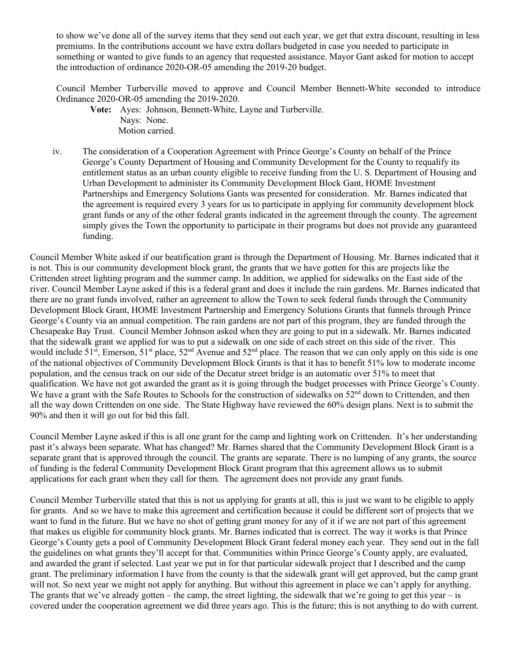to show we've done all of the survey items that they send out each year, we get that extra discount, resulting in less premiums. In the contributions account we have extra dollars budgeted in case you needed to participate in something or wanted to give funds to an agency that requested assistance. Mayor Gant asked for motion to accept the introduction of ordinance 2020-OR-05 amending the 2019-20 budget.

Council Member Turberville moved to approve and Council Member Bennett-White seconded to introduce Ordinance 2020-OR-05 amending the 2019-2020.

**Vote:** Ayes: Johnson, Bennett-White, Layne and Turberville. Nays: None. Motion carried.

iv. The consideration of a Cooperation Agreement with Prince George's County on behalf of the Prince George's County Department of Housing and Community Development for the County to requalify its entitlement status as an urban county eligible to receive funding from the U. S. Department of Housing and Urban Development to administer its Community Development Block Gant, HOME Investment Partnerships and Emergency Solutions Gants was presented for consideration. Mr. Barnes indicated that the agreement is required every 3 years for us to participate in applying for community development block grant funds or any of the other federal grants indicated in the agreement through the county. The agreement simply gives the Town the opportunity to participate in their programs but does not provide any guaranteed funding.

Council Member White asked if our beatification grant is through the Department of Housing. Mr. Barnes indicated that it is not. This is our community development block grant, the grants that we have gotten for this are projects like the Crittenden street lighting program and the summer camp. In addition, we applied for sidewalks on the East side of the river. Council Member Layne asked if this is a federal grant and does it include the rain gardens. Mr. Barnes indicated that there are no grant funds involved, rather an agreement to allow the Town to seek federal funds through the Community Development Block Grant, HOME Investment Partnership and Emergency Solutions Grants that funnels through Prince George's County via an annual competition. The rain gardens are not part of this program, they are funded through the Chesapeake Bay Trust. Council Member Johnson asked when they are going to put in a sidewalk. Mr. Barnes indicated that the sidewalk grant we applied for was to put a sidewalk on one side of each street on this side of the river. This would include 51<sup>st</sup>, Emerson, 51<sup>st</sup> place, 52<sup>nd</sup> Avenue and 52<sup>nd</sup> place. The reason that we can only apply on this side is one of the national objectives of Community Development Block Grants is that it has to benefit 51% low to moderate income population, and the census track on our side of the Decatur street bridge is an automatic over 51% to meet that qualification. We have not got awarded the grant as it is going through the budget processes with Prince George's County. We have a grant with the Safe Routes to Schools for the construction of sidewalks on 52<sup>nd</sup> down to Crittenden, and then all the way down Crittenden on one side. The State Highway have reviewed the 60% design plans. Next is to submit the 90% and then it will go out for bid this fall.

Council Member Layne asked if this is all one grant for the camp and lighting work on Crittenden. It's her understanding past it's always been separate. What has changed? Mr. Barnes shared that the Community Development Block Grant is a separate grant that is approved through the council. The grants are separate. There is no lumping of any grants, the source of funding is the federal Community Development Block Grant program that this agreement allows us to submit applications for each grant when they call for them. The agreement does not provide any grant funds.

Council Member Turberville stated that this is not us applying for grants at all, this is just we want to be eligible to apply for grants. And so we have to make this agreement and certification because it could be different sort of projects that we want to fund in the future. But we have no shot of getting grant money for any of it if we are not part of this agreement that makes us eligible for community block grants. Mr. Barnes indicated that is correct. The way it works is that Prince George's County gets a pool of Community Development Block Grant federal money each year. They send out in the fall the guidelines on what grants they'll accept for that. Communities within Prince George's County apply, are evaluated, and awarded the grant if selected. Last year we put in for that particular sidewalk project that I described and the camp grant. The preliminary information I have from the county is that the sidewalk grant will get approved, but the camp grant will not. So next year we might not apply for anything. But without this agreement in place we can't apply for anything. The grants that we've already gotten – the camp, the street lighting, the sidewalk that we're going to get this year – is covered under the cooperation agreement we did three years ago. This is the future; this is not anything to do with current.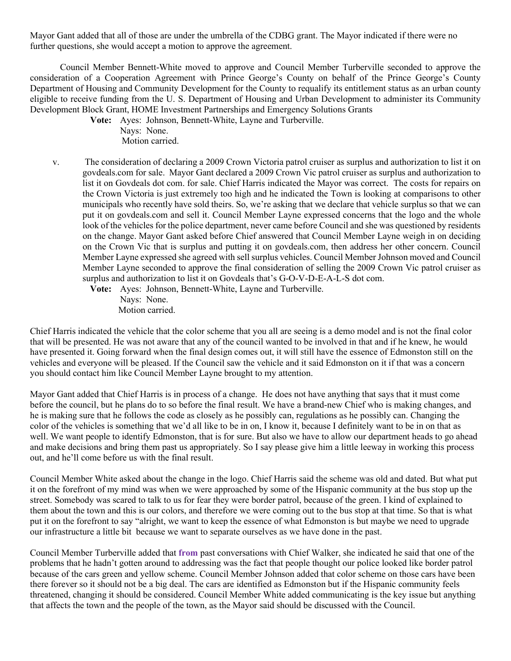Mayor Gant added that all of those are under the umbrella of the CDBG grant. The Mayor indicated if there were no further questions, she would accept a motion to approve the agreement.

Council Member Bennett-White moved to approve and Council Member Turberville seconded to approve the consideration of a Cooperation Agreement with Prince George's County on behalf of the Prince George's County Department of Housing and Community Development for the County to requalify its entitlement status as an urban county eligible to receive funding from the U. S. Department of Housing and Urban Development to administer its Community Development Block Grant, HOME Investment Partnerships and Emergency Solutions Grants

**Vote:** Ayes: Johnson, Bennett-White, Layne and Turberville.

Nays: None. Motion carried.

v. The consideration of declaring a 2009 Crown Victoria patrol cruiser as surplus and authorization to list it on govdeals.com for sale. Mayor Gant declared a 2009 Crown Vic patrol cruiser as surplus and authorization to list it on Govdeals dot com. for sale. Chief Harris indicated the Mayor was correct. The costs for repairs on the Crown Victoria is just extremely too high and he indicated the Town is looking at comparisons to other municipals who recently have sold theirs. So, we're asking that we declare that vehicle surplus so that we can put it on govdeals.com and sell it. Council Member Layne expressed concerns that the logo and the whole look of the vehicles for the police department, never came before Council and she was questioned by residents on the change. Mayor Gant asked before Chief answered that Council Member Layne weigh in on deciding on the Crown Vic that is surplus and putting it on govdeals.com, then address her other concern. Council Member Layne expressed she agreed with sell surplus vehicles. Council Member Johnson moved and Council Member Layne seconded to approve the final consideration of selling the 2009 Crown Vic patrol cruiser as surplus and authorization to list it on Govdeals that's G-O-V-D-E-A-L-S dot com.

**Vote:** Ayes: Johnson, Bennett-White, Layne and Turberville. Nays: None. Motion carried.

Chief Harris indicated the vehicle that the color scheme that you all are seeing is a demo model and is not the final color that will be presented. He was not aware that any of the council wanted to be involved in that and if he knew, he would have presented it. Going forward when the final design comes out, it will still have the essence of Edmonston still on the vehicles and everyone will be pleased. If the Council saw the vehicle and it said Edmonston on it if that was a concern you should contact him like Council Member Layne brought to my attention.

Mayor Gant added that Chief Harris is in process of a change. He does not have anything that says that it must come before the council, but he plans do to so before the final result. We have a brand-new Chief who is making changes, and he is making sure that he follows the code as closely as he possibly can, regulations as he possibly can. Changing the color of the vehicles is something that we'd all like to be in on, I know it, because I definitely want to be in on that as well. We want people to identify Edmonston, that is for sure. But also we have to allow our department heads to go ahead and make decisions and bring them past us appropriately. So I say please give him a little leeway in working this process out, and he'll come before us with the final result.

Council Member White asked about the change in the logo. Chief Harris said the scheme was old and dated. But what put it on the forefront of my mind was when we were approached by some of the Hispanic community at the bus stop up the street. Somebody was scared to talk to us for fear they were border patrol, because of the green. I kind of explained to them about the town and this is our colors, and therefore we were coming out to the bus stop at that time. So that is what put it on the forefront to say "alright, we want to keep the essence of what Edmonston is but maybe we need to upgrade our infrastructure a little bit because we want to separate ourselves as we have done in the past.

Council Member Turberville added that **from** past conversations with Chief Walker, she indicated he said that one of the problems that he hadn't gotten around to addressing was the fact that people thought our police looked like border patrol because of the cars green and yellow scheme. Council Member Johnson added that color scheme on those cars have been there forever so it should not be a big deal. The cars are identified as Edmonston but if the Hispanic community feels threatened, changing it should be considered. Council Member White added communicating is the key issue but anything that affects the town and the people of the town, as the Mayor said should be discussed with the Council.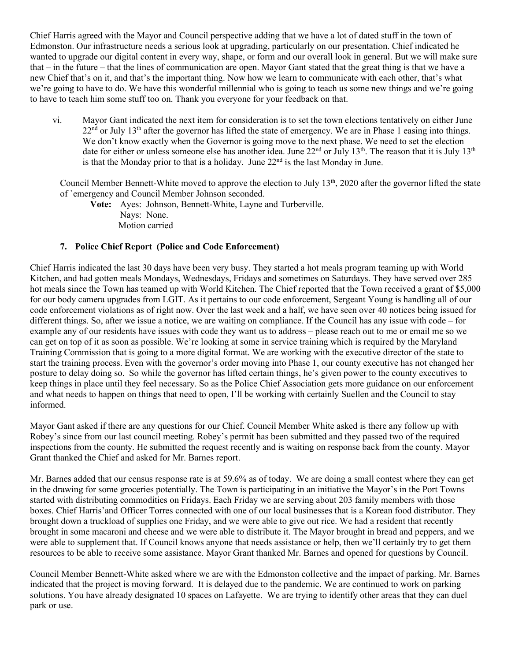Chief Harris agreed with the Mayor and Council perspective adding that we have a lot of dated stuff in the town of Edmonston. Our infrastructure needs a serious look at upgrading, particularly on our presentation. Chief indicated he wanted to upgrade our digital content in every way, shape, or form and our overall look in general. But we will make sure that – in the future – that the lines of communication are open. Mayor Gant stated that the great thing is that we have a new Chief that's on it, and that's the important thing. Now how we learn to communicate with each other, that's what we're going to have to do. We have this wonderful millennial who is going to teach us some new things and we're going to have to teach him some stuff too on. Thank you everyone for your feedback on that.

vi. Mayor Gant indicated the next item for consideration is to set the town elections tentatively on either June  $22<sup>nd</sup>$  or July 13<sup>th</sup> after the governor has lifted the state of emergency. We are in Phase 1 easing into things. We don't know exactly when the Governor is going move to the next phase. We need to set the election date for either or unless someone else has another idea. June 22<sup>nd</sup> or July 13<sup>th</sup>. The reason that it is July 13<sup>th</sup> is that the Monday prior to that is a holiday. June  $22<sup>nd</sup>$  is the last Monday in June.

Council Member Bennett-White moved to approve the election to July 13<sup>th</sup>, 2020 after the governor lifted the state of `emergency and Council Member Johnson seconded.

**Vote:** Ayes: Johnson, Bennett-White, Layne and Turberville. Nays: None. Motion carried

## **7. Police Chief Report (Police and Code Enforcement)**

Chief Harris indicated the last 30 days have been very busy. They started a hot meals program teaming up with World Kitchen, and had gotten meals Mondays, Wednesdays, Fridays and sometimes on Saturdays. They have served over 285 hot meals since the Town has teamed up with World Kitchen. The Chief reported that the Town received a grant of \$5,000 for our body camera upgrades from LGIT. As it pertains to our code enforcement, Sergeant Young is handling all of our code enforcement violations as of right now. Over the last week and a half, we have seen over 40 notices being issued for different things. So, after we issue a notice, we are waiting on compliance. If the Council has any issue with code – for example any of our residents have issues with code they want us to address – please reach out to me or email me so we can get on top of it as soon as possible. We're looking at some in service training which is required by the Maryland Training Commission that is going to a more digital format. We are working with the executive director of the state to start the training process. Even with the governor's order moving into Phase 1, our county executive has not changed her posture to delay doing so. So while the governor has lifted certain things, he's given power to the county executives to keep things in place until they feel necessary. So as the Police Chief Association gets more guidance on our enforcement and what needs to happen on things that need to open, I'll be working with certainly Suellen and the Council to stay informed.

Mayor Gant asked if there are any questions for our Chief. Council Member White asked is there any follow up with Robey's since from our last council meeting. Robey's permit has been submitted and they passed two of the required inspections from the county. He submitted the request recently and is waiting on response back from the county. Mayor Grant thanked the Chief and asked for Mr. Barnes report.

Mr. Barnes added that our census response rate is at 59.6% as of today. We are doing a small contest where they can get in the drawing for some groceries potentially. The Town is participating in an initiative the Mayor's in the Port Towns started with distributing commodities on Fridays. Each Friday we are serving about 203 family members with those boxes. Chief Harris'and Officer Torres connected with one of our local businesses that is a Korean food distributor. They brought down a truckload of supplies one Friday, and we were able to give out rice. We had a resident that recently brought in some macaroni and cheese and we were able to distribute it. The Mayor brought in bread and peppers, and we were able to supplement that. If Council knows anyone that needs assistance or help, then we'll certainly try to get them resources to be able to receive some assistance. Mayor Grant thanked Mr. Barnes and opened for questions by Council.

Council Member Bennett-White asked where we are with the Edmonston collective and the impact of parking. Mr. Barnes indicated that the project is moving forward. It is delayed due to the pandemic. We are continued to work on parking solutions. You have already designated 10 spaces on Lafayette. We are trying to identify other areas that they can duel park or use.